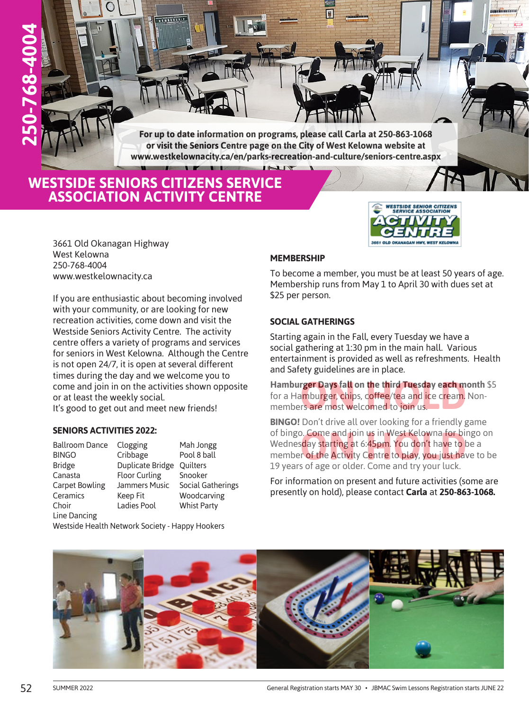**For up to date information on programs, please call Carla at 250-863-1068 or visit the Seniors Centre page on the City of West Kelowna website at www.westkelownacity.ca/en/parks-recreation-and-culture/seniors-centre.aspx**

## **WESTSIDE SENIORS CITIZENS SERVICE ASSOCIATION ACTIVITY CENTRE**

**TELEVILLE** 

3661 Old Okanagan Highway West Kelowna 250-768-4004 www.westkelownacity.ca

**250-768-4004**

 $-768 - 4004$ 

If you are enthusiastic about becoming involved with your community, or are looking for new recreation activities, come down and visit the Westside Seniors Activity Centre. The activity centre offers a variety of programs and services for seniors in West Kelowna. Although the Centre is not open 24/7, it is open at several different times during the day and we welcome you to come and join in on the activities shown opposite or at least the weekly social. It's good to get out and meet new friends!

#### **SENIORS ACTIVITIES 2022:**

| <b>Ballroom Dance</b> | Clogging             | Mah Jongg          |
|-----------------------|----------------------|--------------------|
| <b>BINGO</b>          | Cribbage             | Pool 8 ball        |
| <b>Bridge</b>         | Duplicate Bridge     | <b>Quilters</b>    |
| Canasta               | <b>Floor Curling</b> | Snooker            |
| <b>Carpet Bowling</b> | Jammers Music        | Social Gatherings  |
| Ceramics              | Keep Fit             | Woodcarving        |
| Choir                 | Ladies Pool          | <b>Whist Party</b> |
| Line Dancing          |                      |                    |

Westside Health Network Society - Happy Hookers

### **MEMBERSHIP**

To become a member, you must be at least 50 years of age. Membership runs from May 1 to April 30 with dues set at \$25 per person.

**WESTSIDE SENIOR CITIZENS<br>SERVICE ASSOCIATION** 

**3661 OLD OKANAGAN HWY, WEST KELOWNA** 

markennarenn

#### **SOCIAL GATHERINGS**

Starting again in the Fall, every Tuesday we have a social gathering at 1:30 pm in the main hall. Various entertainment is provided as well as refreshments. Health and Safety guidelines are in place.

**Hamburger Days fall on the third Tuesday each month** \$5 for a Hamburger, chips, coffee/tea and ice cream. Nonmembers are most welcomed to join us. r**ger Days fall on the third Tuesday each m**<br>amburger, chips, coffee/tea and ice cream.<br>rs are most welcomed to join us.

**BINGO!** Don't drive all over looking for a friendly game of bingo. Come and join us in West Kelowna for bingo on Wednesday starting at 6:45pm. You don't have to be a member of the Activity Centre to play, you just have to be 19 years of age or older. Come and try your luck. **Come and join us in West Kelowna for binday starting at 6:45pm. You don't have to binday starting at 6:45pm. You don't have to binday starting and the Activity Centre to play, you just have to bind and the violent line of** 

For information on present and future activities (some are presently on hold), please contact **Carla** at **250-863-1068.**